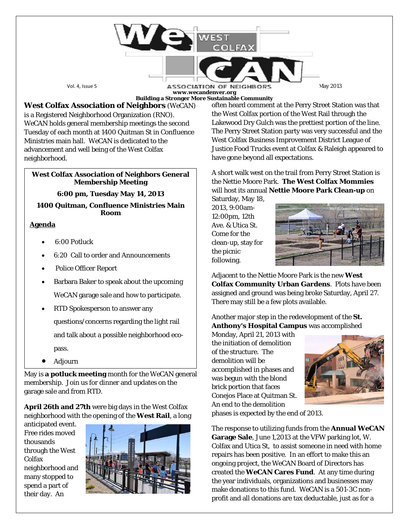Vol. 4, Issue 5 May 2013<br>
May 2013 **www.wecandenver.org Building a Stronger More Sustainable Community**

**West Colfax Association of Neighbors** (*WeCAN*) is a Registered Neighborhood Organization (RNO). *WeCAN* holds general membership meetings the second Tuesday of each month at 1400 Quitman St in Confluence Ministries main hall. *WeCAN* is dedicated to the advancement and well being of the West Colfax neighborhood.

### **West Colfax Association of Neighbors General Membership Meeting**

# **6:00 pm, Tuesday May 14, 2013**

### **1400 Quitman, Confluence Ministries Main Room**

# **Agenda**

- 6:00 Potluck
- 6:20 Call to order and Announcements
- Police Officer Report
- Barbara Baker to speak about the upcoming WeCAN garage sale and how to participate.
- RTD Spokesperson to answer any

questions/concerns regarding the light rail and talk about a possible neighborhood ecopass.

• Adjourn

May is **a potluck meeting** month for the *WeCAN* general membership. Join us for dinner and updates on the garage sale and from RTD.

**April 26th and 27th** were big days in the West Colfax neighborhood with the opening of the **West Rail**, a long

anticipated event. Free rides moved thousands through the West Colfax neighborhood and many stopped to spend a part of their day. An



often heard comment at the Perry Street Station was that the West Colfax portion of the West Rail through the Lakewood Dry Gulch was the prettiest portion of the line. The Perry Street Station party was very successful and the West Colfax Business Improvement District League of Justice Food Trucks event at Colfax & Raleigh appeared to have gone beyond all expectations.

A short walk west on the trail from Perry Street Station is the Nettie Moore Park. **The West Colfax Mommies** will host its annual **Nettie Moore Park Clean-up** on

Saturday, May 18, 2013, 9:00am-12:00pm, 12th Ave. & Utica St. Come for the clean-up, stay for the picnic following.



Adjacent to the Nettie Moore Park is the new **West Colfax Community Urban Gardens**. Plots have been assigned and ground was being broke Saturday, April 27. There may still be a few plots available.

Another major step in the redevelopment of the **St. Anthony's Hospital Campus** was accomplished

Monday, April 21, 2013 with the initiation of demolition of the structure. The demolition will be accomplished in phases and was begun with the blond brick portion that faces Conejos Place at Quitman St. An end to the demolition



phases is expected by the end of 2013.

The response to utilizing funds from the **Annual** *WeCAN* **Garage Sale**, June 1,2013 at the VFW parking lot, W. Colfax and Utica St, to assist someone in need with home repairs has been positive. In an effort to make this an ongoing project, the *WeCAN* Board of Directors has created the *WeCAN* **Cares Fund**. At any time during the year individuals, organizations and businesses may make donations to this fund. *WeCAN* is a 501-3C nonprofit and all donations are tax deductable, just as for a